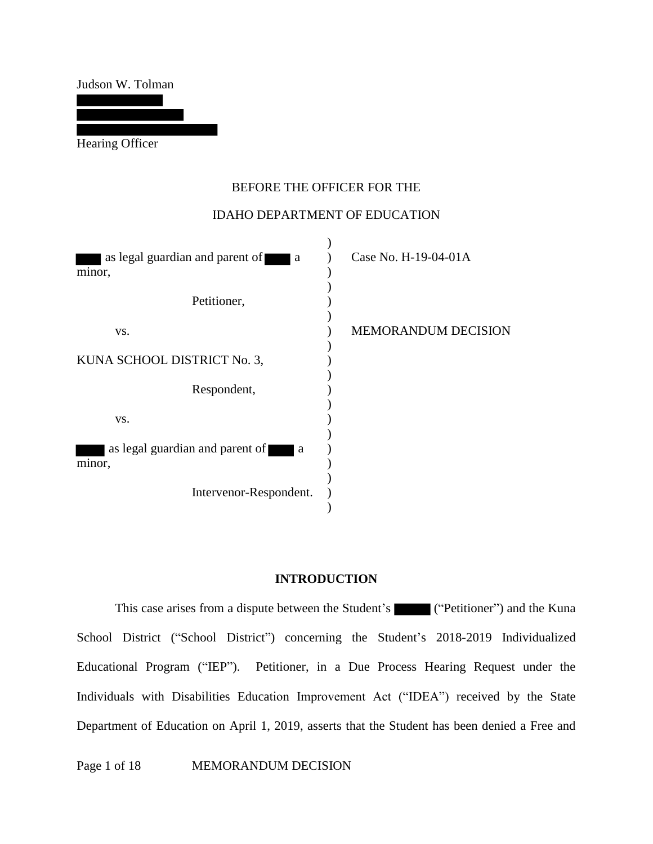Judson W. Tolman

Hearing Officer

## BEFORE THE OFFICER FOR THE

### IDAHO DEPARTMENT OF EDUCATION

| as legal guardian and parent of<br><sub>a</sub><br>minor, | Case No. H-19-04-01A       |
|-----------------------------------------------------------|----------------------------|
| Petitioner,                                               |                            |
| VS.                                                       | <b>MEMORANDUM DECISION</b> |
| KUNA SCHOOL DISTRICT No. 3,                               |                            |
| Respondent,                                               |                            |
| VS.                                                       |                            |
| as legal guardian and parent of<br><sub>a</sub><br>minor, |                            |
| Intervenor-Respondent.                                    |                            |

### **INTRODUCTION**

This case arises from a dispute between the Student's ("Petitioner") and the Kuna School District ("School District") concerning the Student's 2018-2019 Individualized Educational Program ("IEP"). Petitioner, in a Due Process Hearing Request under the Individuals with Disabilities Education Improvement Act ("IDEA") received by the State Department of Education on April 1, 2019, asserts that the Student has been denied a Free and

Page 1 of 18 MEMORANDUM DECISION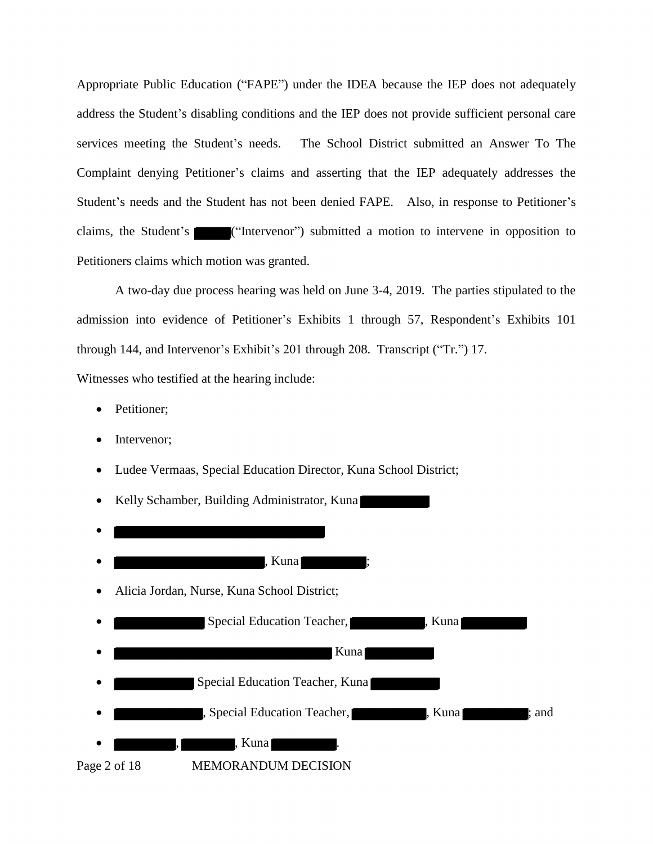e Sti<br>-<br>ch mo Appropriate Public Education ("FAPE") under the IDEA because the IEP does not adequately address the Student's disabling conditions and the IEP does not provide sufficient personal care services meeting the Student's needs. The School District submitted an Answer To The Complaint denying Petitioner's claims and asserting that the IEP adequately addresses the Student's needs and the Student has not been denied FAPE. Also, in response to Petitioner's claims, the Student's ("Intervenor") submitted a motion to intervene in opposition to Petitioners claims which motion was granted.

A two-day due process hearing was held on June 3-4, 2019. The parties stipulated to the admission into evidence of Petitioner's Exhibits 1 through 57, Respondent's Exhibits 101 through 144, and Intervenor's Exhibit's 201 through 208. Transcript ("Tr.") 17.

Witnesses who testified at the hearing include:

- Petitioner;
- Intervenor;
- Ludee Vermaas, Special Education Director, Kuna School District;

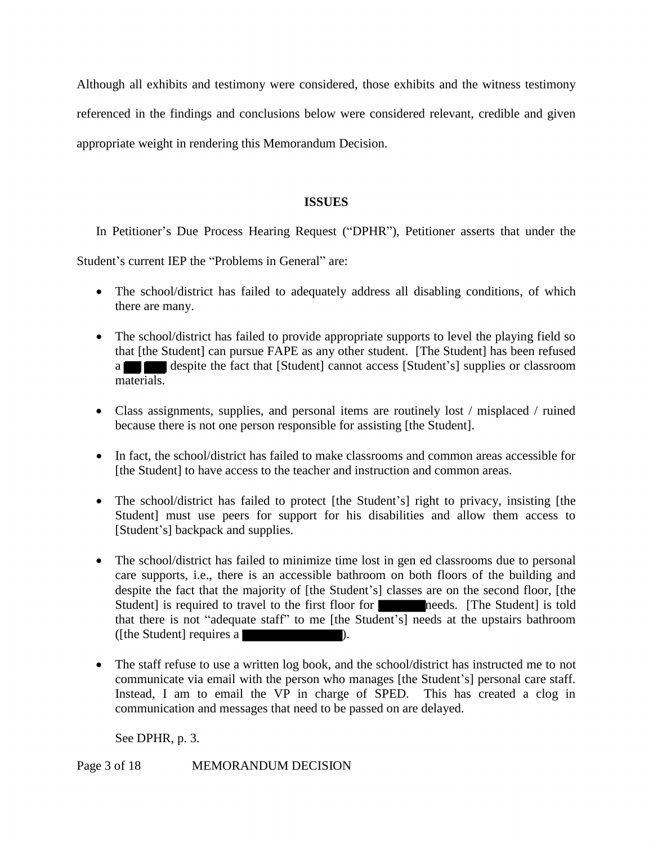Although all exhibits and testimony were considered, those exhibits and the witness testimony referenced in the findings and conclusions below were considered relevant, credible and given appropriate weight in rendering this Memorandum Decision.

### **ISSUES**

In Petitioner's Due Process Hearing Request ("DPHR"), Petitioner asserts that under the

Student's current IEP the "Problems in General" are:

- The school/district has failed to adequately address all disabling conditions, of which there are many.
- the schoomat [the S]<br>atterials. • The school/district has failed to provide appropriate supports to level the playing field so that [the Student] can pursue FAPE as any other student. [The Student] has been refused a despite the fact that [Student] cannot access [Student's] supplies or classroom materials.
- Class assignments, supplies, and personal items are routinely lost / misplaced / ruined because there is not one person responsible for assisting [the Student].
- In fact, the school/district has failed to make classrooms and common areas accessible for [the Student] to have access to the teacher and instruction and common areas.
- The school/district has failed to protect [the Student's] right to privacy, insisting [the Student] must use peers for support for his disabilities and allow them access to [Student's] backpack and supplies.
- The school/district has failed to minimize time lost in gen ed classrooms due to personal care supports, i.e., there is an accessible bathroom on both floors of the building and despite the fact that the majority of [the Student's] classes are on the second floor, [the Student is required to travel to the first floor for needs. [The Student] is told that there is not "adequate staff" to me [the Student's] needs at the upstairs bathroom ([the Student] requires a
- The staff refuse to use a written log book, and the school/district has instructed me to not communicate via email with the person who manages [the Student's] personal care staff. Instead, I am to email the VP in charge of SPED. This has created a clog in communication and messages that need to be passed on are delayed.

See DPHR, p. 3.

Page 3 of 18 MEMORANDUM DECISION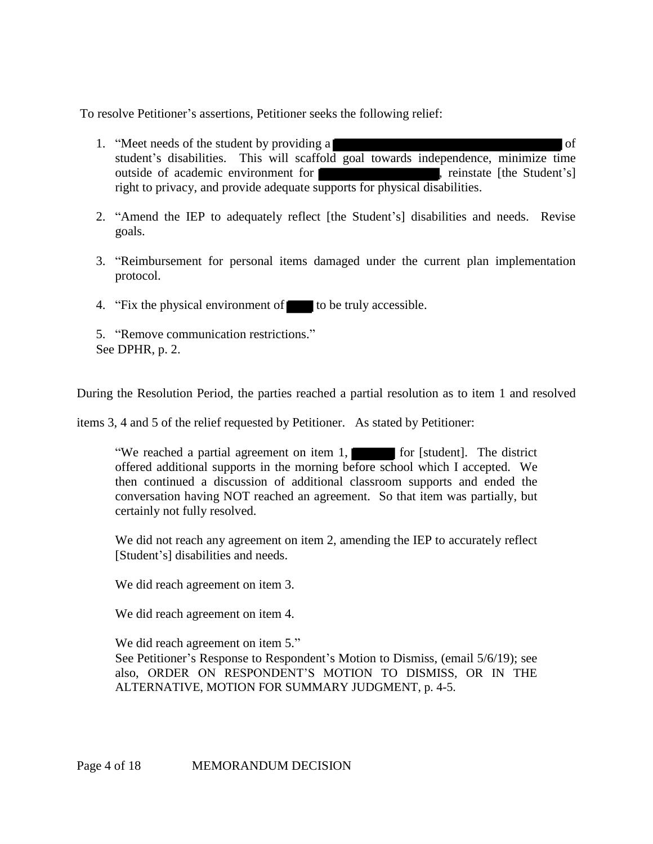To resolve Petitioner's assertions, Petitioner seeks the following relief:

- 1. "Meet needs of the student by providing a student's disabilities. This will scaffold goal towards independence, minimize time outside of academic environment for **the student** is reinstate [the Student's] of right to privacy, and provide adequate supports for physical disabilities.
- 2. "Amend the IEP to adequately reflect [the Student's] disabilities and needs. Revise goals.
- 3. "Reimbursement for personal items damaged under the current plan implementation protocol.
- 4. "Fix the physical environment of to be truly accessible.
- 5. "Remove communication restrictions." See DPHR, p. 2.

During the Resolution Period, the parties reached a partial resolution as to item 1 and resolved

items 3, 4 and 5 of the relief requested by Petitioner. As stated by Petitioner:

As s<br>
efore<br>
class "We reached a partial agreement on item 1, for [student]. The district offered additional supports in the morning before school which I accepted. We then continued a discussion of additional classroom supports and ended the conversation having NOT reached an agreement. So that item was partially, but certainly not fully resolved.

We did not reach any agreement on item 2, amending the IEP to accurately reflect [Student's] disabilities and needs.

We did reach agreement on item 3.

We did reach agreement on item 4.

We did reach agreement on item 5." See Petitioner's Response to Respondent's Motion to Dismiss, (email 5/6/19); see also, ORDER ON RESPONDENT'S MOTION TO DISMISS, OR IN THE ALTERNATIVE, MOTION FOR SUMMARY JUDGMENT, p. 4-5.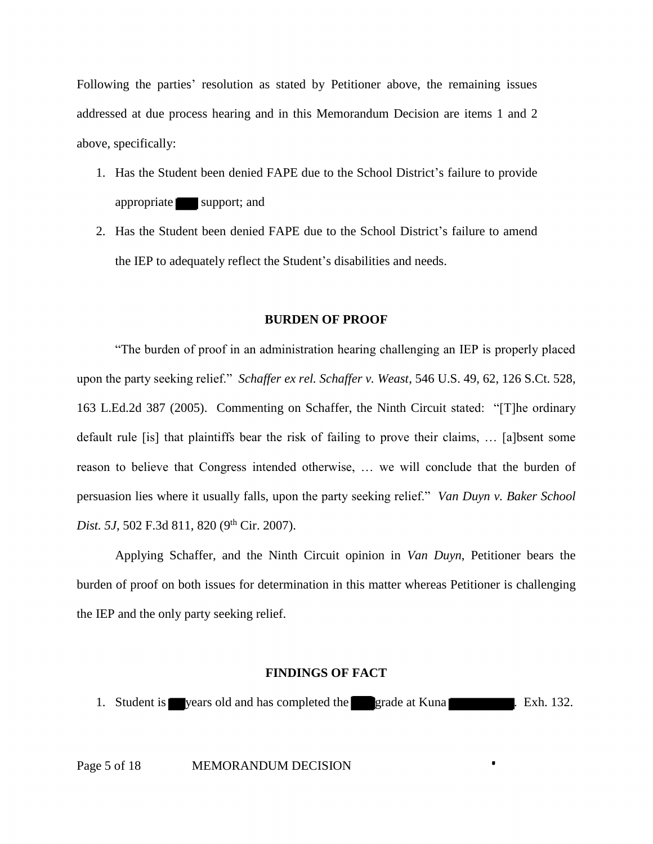Following the parties' resolution as stated by Petitioner above, the remaining issues addressed at due process hearing and in this Memorandum Decision are items 1 and 2 above, specifically:

- 1. Has the Student been denied FAPE due to the School District's failure to provide<br>appropriate support; and<br>2. Has the Student been denied FAPE due to the School District's failure to amend appropriate support; and
- 2. Has the Student been denied FAPE due to the School District's failure to amend the IEP to adequately reflect the Student's disabilities and needs.

#### **BURDEN OF PROOF**

 "The burden of proof in an administration hearing challenging an IEP is properly placed 163 L.Ed.2d 387 (2005). Commenting on Schaffer, the Ninth Circuit stated: "[T]he ordinary default rule [is] that plaintiffs bear the risk of failing to prove their claims, … [a]bsent some reason to believe that Congress intended otherwise, … we will conclude that the burden of persuasion lies where it usually falls, upon the party seeking relief." *Van Duyn v. Baker School*  upon the party seeking relief." *Schaffer ex rel. Schaffer v. Weast*, 546 U.S. 49, 62, 126 S.Ct. 528, *Dist. 5J*, 502 F.3d 811, 820 (9<sup>th</sup> Cir. 2007).

Applying Schaffer, and the Ninth Circuit opinion in *Van Duyn*, Petitioner bears the burden of proof on both issues for determination in this matter whereas Petitioner is challenging the IEP and the only party seeking relief.

#### **FINDINGS OF FACT**

**FINDINGS OF FACT**<br>years old and has completed the grade at Kuna 1. Student is vears old and has completed the grade at Kuna . Exh. 132.

■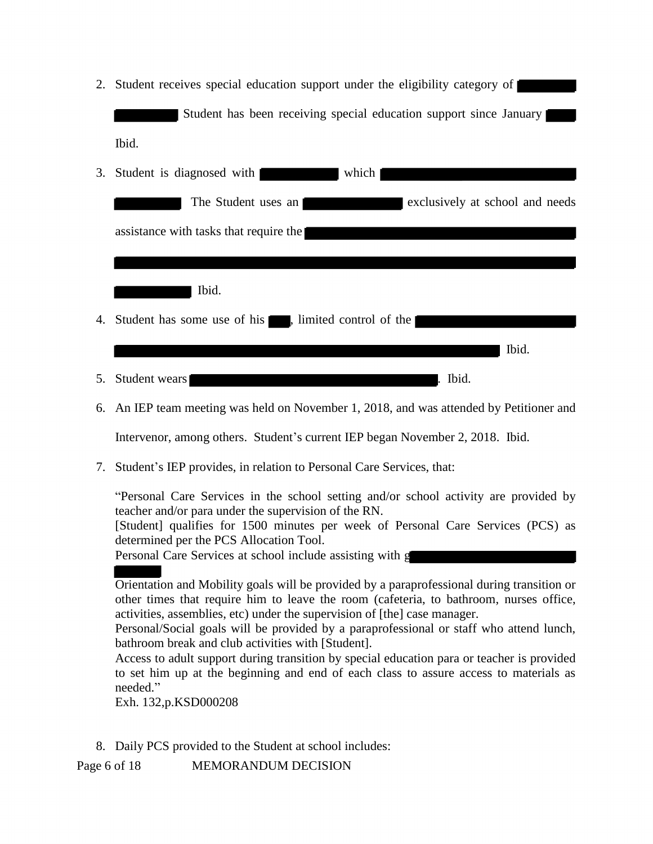2. Student receives special education support under the eligibility category of Student has been receiving special education support since January Ibid. ves special education support under the eligibility category of **Student has been receiving special education support since January** Ibid.

| 3. | which<br>Student is diagnosed with                               |
|----|------------------------------------------------------------------|
|    | The Student uses an<br>exclusively at school and needs           |
|    | assistance with tasks that require the                           |
|    |                                                                  |
|    | Ibid.                                                            |
| 4. | Student has some use of his <b>Fig.</b> , limited control of the |
|    | Ibid.                                                            |
| 5. | Ibid.<br>Student wears                                           |

6. An IEP team meeting was held on November 1, 2018, and was attended by Petitioner and

Intervenor, among others. Student's current IEP began November 2, 2018. Ibid.

7. Student's IEP provides, in relation to Personal Care Services, that:

"Personal Care Services in the school setting and/or school activity are provided by teacher and/or para under the supervision of the RN.

[Student] qualifies for 1500 minutes per week of Personal Care Services (PCS) as determined per the PCS Allocation Tool.

Personal Care Services at school include assisting with g

deter<br>Perse<br>Orie<br>Orie<br>other Orientation and Mobility goals will be provided by a paraprofessional during transition or other times that require him to leave the room (cafeteria, to bathroom, nurses office, activities, assemblies, etc) under the supervision of [the] case manager.

Personal/Social goals will be provided by a paraprofessional or staff who attend lunch, bathroom break and club activities with [Student].

Access to adult support during transition by special education para or teacher is provided to set him up at the beginning and end of each class to assure access to materials as needed."

Exh. 132,p.KSD000208

8. Daily PCS provided to the Student at school includes:

Page 6 of 18 MEMORANDUM DECISION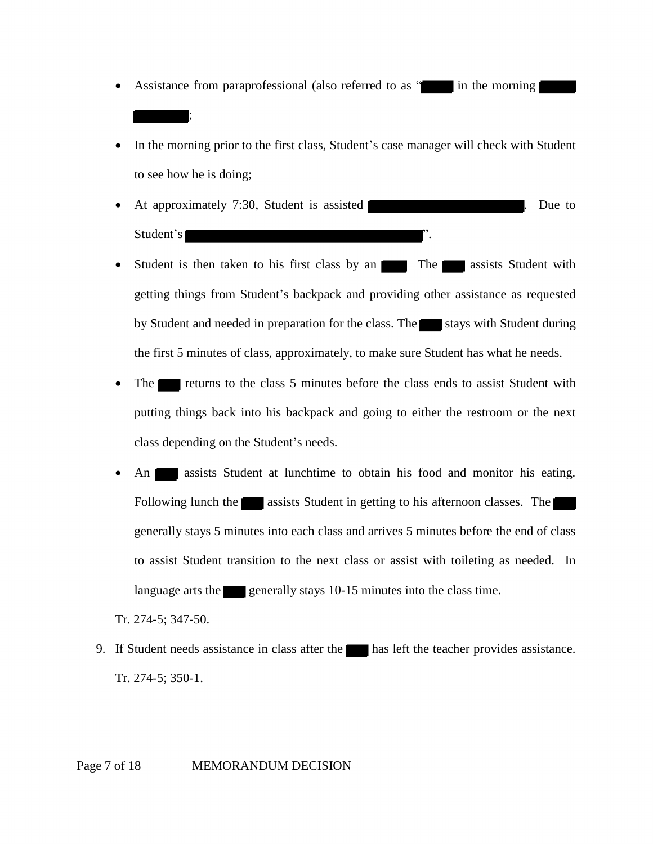- in the morning • Assistance from paraprofessional (also referred to as " in the morning in the morning  $\mathbf{\cdot}$ ; In the morning prior to the first class, Student's case manager will check with  $\mathbf{\cdot}$ ;
- In the morning prior to the first class, Student's case manager will check with Student to see how he is doing;
- At approximately 7:30, Student is assisted **EXECUTE:** 1. Due to Student's
- $\frac{111}{111}$ getting things from Student's backpack and providing other assistance as requested<br>by Student and needed in preparation for the class. The stays with Student during<br>the first 5 minutes of class, approximately, to make sure • Student is then taken to his first class by an The The assists Student with by Student and needed in preparation for the class. The stays with Student during
- the first 5 minutes of class, approximately, to make sure Student has what he needs.<br>The **the class** to the class 5 minutes before the class ends to assist Student wire<br>putting things back into his backpack and going to ei The returns to the class 5 minutes before the class ends to assist Student with putting things back into his backpack and going to either the restroom or the next
- class depending on the Student's needs.<br>
An assists Student at lunchtime<br>
Following lunch the assists Student • An assists Student at lunchtime to obtain his food and monitor his eating.<br>Following lunch the assists Student in getting to his afternoon classes. The generally stays 5 minutes into each class and arrives 5 minutes befo to assist Student transition to the next class or assist with toileting as needed. In language arts the generally stays 10-15 minutes into the class time.<br>274-5; 347-50. Following lunch the assists Student in getting to his afternoon classes. The generally stays 5 minutes into each class and arrives 5 minutes before the end of class language arts the generally stays 10-15 minutes into the class time.

Tr. 274-5; 347-50.

- 9. If Student needs assistance in class after the has left the teacher provides assistance. Tr. 274-5; 350-1.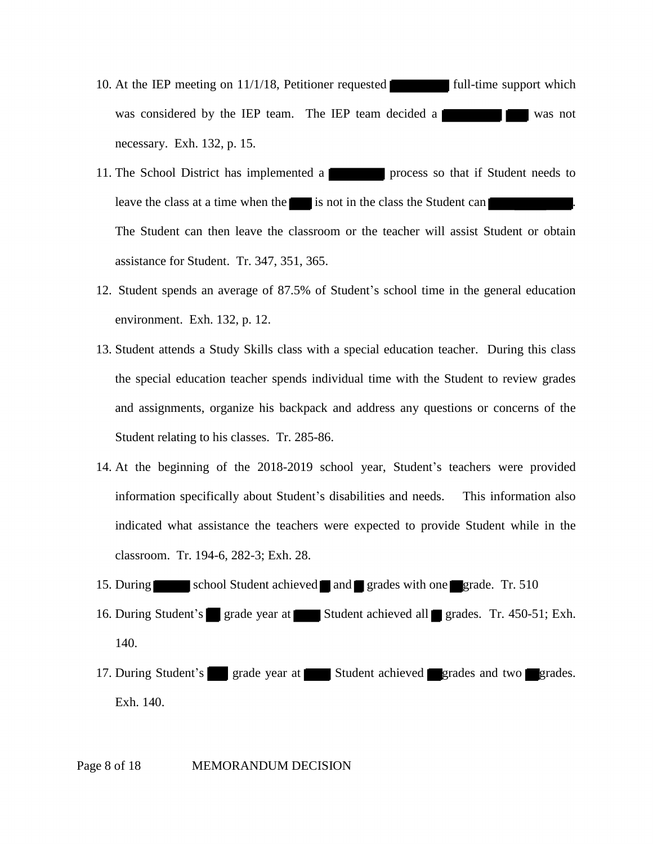- **Lexister** full-time supports 10. At the IEP meeting on 11/1/18, Petitioner requested full-time support which was considered by the IEP team. The IEP team decided a was not necessary. Exh. 132, p. 15.
- **Leader**<br>not in 11. The School District has implemented a process so that if Student needs to leave the class at a time when the process is not in the class the Student can process is the Student can be student can be student can then lea leave the class at a time when the is not in the class the Student can The Student can then leave the classroom or the teacher will assist Student or obtain assistance for Student. Tr. 347, 351, 365.
- 12. Student spends an average of 87.5% of Student's school time in the general education environment. Exh. 132, p. 12.
- 13. Student attends a Study Skills class with a special education teacher. During this class the special education teacher spends individual time with the Student to review grades and assignments, organize his backpack and address any questions or concerns of the Student relating to his classes. Tr. 285-86.
- 14. At the beginning of the 2018-2019 school year, Student's teachers were provided information specifically about Student's disabilities and needs. This information also indicated what assistance the teachers were expected to provide Student while in the classroom. Tr. 194-6, 282-3; Exh. 28.
- 15. During school Student achieved and grades with one grade. Tr. 510
- 9. Tr. 194-6, 2<br>school S<br>Student's gr eved **I** and **I**<br>Student 16. During Student's grade year at Student achieved all grades. Tr. 450-51; Exh. 140.
- grade year at 17. During Student's grade year at Student achieved grades and two grades. Exh. 140.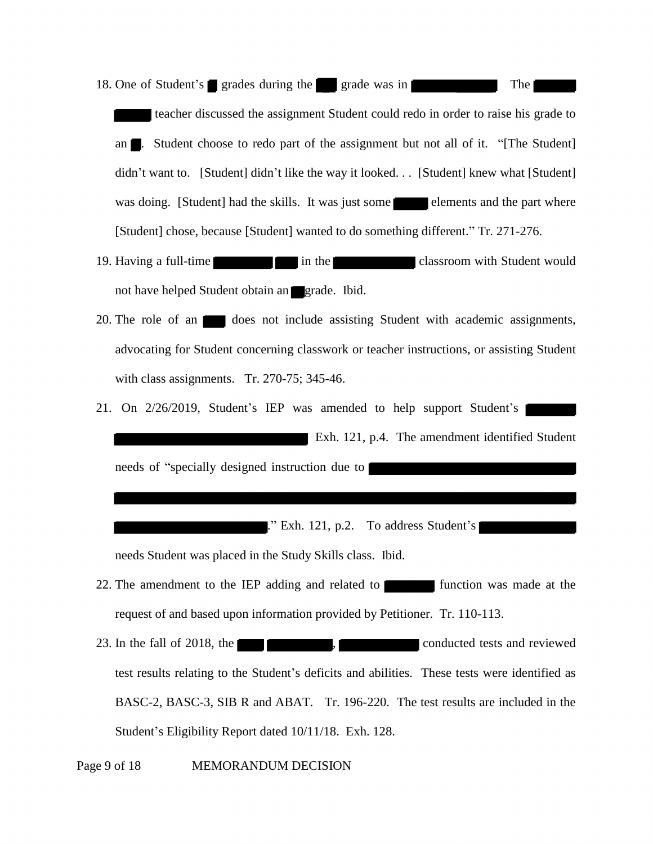One of Student's grades during the grade was in er<br>ent Stud of Student's grades during the grade was in The The The The teacher discussed the assignment Student could redo in order to raise his grade to 18.

The student's solution as in the student could redo in order to raise his grade to the assignment Student could redo in order to raise his grade to an ■ Student choose to redo part of the assignment but not all of it. "[T nt] had the skills. It<br>cause [Student] wan<br>all in t<br>adent obtain an didn't want to. [Student] didn't like the way it looked... [Student] knew what [Student]<br>was doing. [Student] had the skills. It was just some lelements and the part where<br>[Student] chose, because [Student] wanted to do so was doing. [Student] had the skills. It was just some elements and the part where [Student] chose, because [Student] wanted to do something different." Tr. 271-276.

- 19. Having a full-time not have helped Student obtain an grade. Ibid.
- 20. The role of an does not include assisting Student with academic assignments, advocating for Student concerning classwork or teacher instructions, or assisting Student with class assignments. Tr. 270-75; 345-46.
- Exh. 121, p.4. The amendment identified Student 21. On 2/26/2019, Student's IEP was amended to help support Student's needs of "specially designed instruction due to

." Exh. 121, p.2. To address Student's

needs Student was placed in the Study Skills class. Ibid.

- LEP adding and 1<br>on information pro Ibid.<br>Petiti 22. The amendment to the IEP adding and related to function was made at the request of and based upon information provided by Petitioner. Tr. 110-113.
- 23. In the fall of 2018, the  $\blacksquare$ , conducted tests and reviewed test results relating to the Student's deficits and abilities. These tests were identified as BASC-2, BASC-3, SIB R and ABAT. Tr. 196-220. The test results are included in the Student's Eligibility Report dated 10/11/18. Exh. 128.

Page 9 of 18 MEMORANDUM DECISION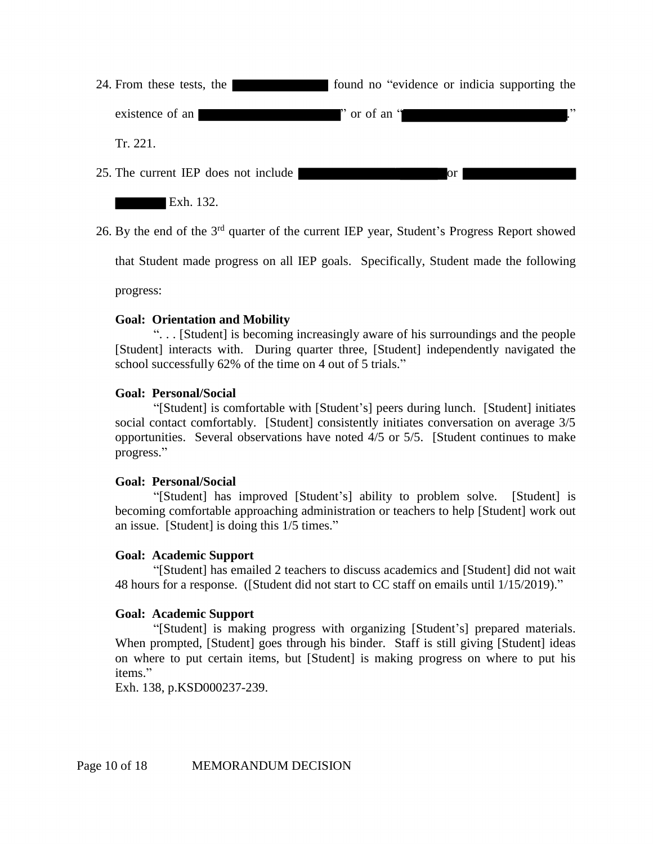" or of an " 24. From these tests, the found no "evidence or indicia supporting the existence of an Tr. 221.

25. The current IEP does not include

Exh. 132.

26. By the end of the 3rd quarter of the current IEP year, Student's Progress Report showed

that Student made progress on all IEP goals. Specifically, Student made the following

progress:

## **Goal: Orientation and Mobility**

". . . [Student] is becoming increasingly aware of his surroundings and the people [Student] interacts with. During quarter three, [Student] independently navigated the school successfully 62% of the time on 4 out of 5 trials."

## **Goal: Personal/Social**

"[Student] is comfortable with [Student's] peers during lunch. [Student] initiates social contact comfortably. [Student] consistently initiates conversation on average  $3/5$ opportunities. Several observations have noted 4/5 or 5/5. [Student continues to make progress."

## **Goal: Personal/Social**

"[Student] has improved [Student's] ability to problem solve. [Student] is becoming comfortable approaching administration or teachers to help [Student] work out an issue. [Student] is doing this 1/5 times."

## **Goal: Academic Support**

"[Student] has emailed 2 teachers to discuss academics and [Student] did not wait 48 hours for a response. ([Student did not start to CC staff on emails until 1/15/2019)."

## **Goal: Academic Support**

"[Student] is making progress with organizing [Student's] prepared materials. When prompted, [Student] goes through his binder. Staff is still giving [Student] ideas on where to put certain items, but [Student] is making progress on where to put his items."

Exh. 138, p.KSD000237-239.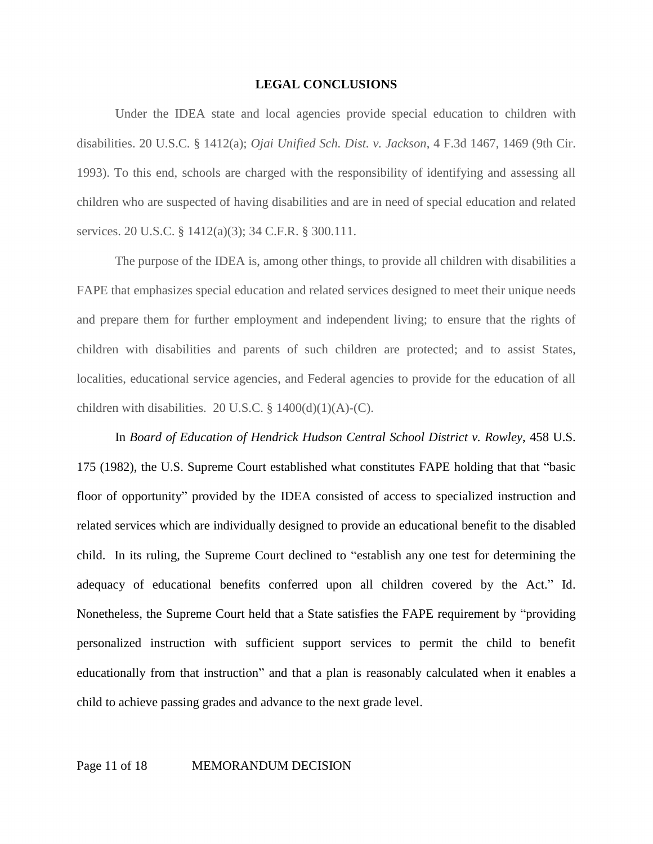#### **LEGAL CONCLUSIONS**

Under the IDEA state and local agencies provide special education to children with disabilities. 20 U.S.C. § 1412(a); *Ojai Unified Sch. Dist. v. Jackson*, 4 F.3d 1467, 1469 (9th Cir. 1993). To this end, schools are charged with the responsibility of identifying and assessing all children who are suspected of having disabilities and are in need of special education and related services. 20 U.S.C. § 1412(a)(3); 34 C.F.R. § 300.111.

The purpose of the IDEA is, among other things, to provide all children with disabilities a FAPE that emphasizes special education and related services designed to meet their unique needs and prepare them for further employment and independent living; to ensure that the rights of children with disabilities and parents of such children are protected; and to assist States, localities, educational service agencies, and Federal agencies to provide for the education of all children with disabilities. 20 U.S.C.  $\S$  1400(d)(1)(A)-(C).

In *Board of Education of Hendrick Hudson Central School District v. Rowley*, 458 U.S. 175 (1982), the U.S. Supreme Court established what constitutes FAPE holding that that "basic floor of opportunity" provided by the IDEA consisted of access to specialized instruction and related services which are individually designed to provide an educational benefit to the disabled child. In its ruling, the Supreme Court declined to "establish any one test for determining the adequacy of educational benefits conferred upon all children covered by the Act." Id. Nonetheless, the Supreme Court held that a State satisfies the FAPE requirement by "providing personalized instruction with sufficient support services to permit the child to benefit educationally from that instruction" and that a plan is reasonably calculated when it enables a child to achieve passing grades and advance to the next grade level.

#### Page 11 of 18 MEMORANDUM DECISION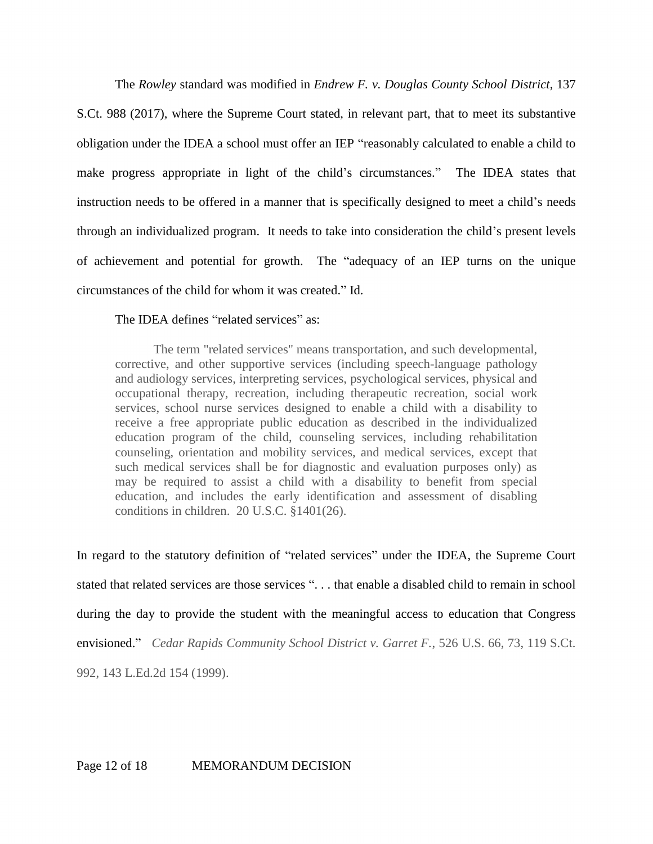The *Rowley* standard was modified in *Endrew F. v. Douglas County School District*, 137 S.Ct. 988 (2017), where the Supreme Court stated, in relevant part, that to meet its substantive obligation under the IDEA a school must offer an IEP "reasonably calculated to enable a child to make progress appropriate in light of the child's circumstances." The IDEA states that instruction needs to be offered in a manner that is specifically designed to meet a child's needs through an individualized program. It needs to take into consideration the child's present levels of achievement and potential for growth. The "adequacy of an IEP turns on the unique circumstances of the child for whom it was created." Id.

### The IDEA defines "related services" as:

The term "related services" means transportation, and such developmental, corrective, and other supportive services (including speech-language pathology and audiology services, interpreting services, psychological services, physical and occupational therapy, recreation, including therapeutic recreation, social work services, school nurse services designed to enable a child with a disability to receive a free appropriate public education as described in the individualized education program of the child, counseling services, including rehabilitation counseling, orientation and mobility services, and medical services, except that such medical services shall be for diagnostic and evaluation purposes only) as may be required to assist a child with a disability to benefit from special education, and includes the early identification and assessment of disabling conditions in children. 20 U.S.C. §1401(26).

In regard to the statutory definition of "related services" under the IDEA, the Supreme Court stated that related services are those services ". . . that enable a disabled child to remain in school during the day to provide the student with the meaningful access to education that Congress envisioned." *Cedar Rapids Community School District v. Garret F.*, 526 U.S. 66, 73, 119 S.Ct. 992, 143 L.Ed.2d 154 (1999).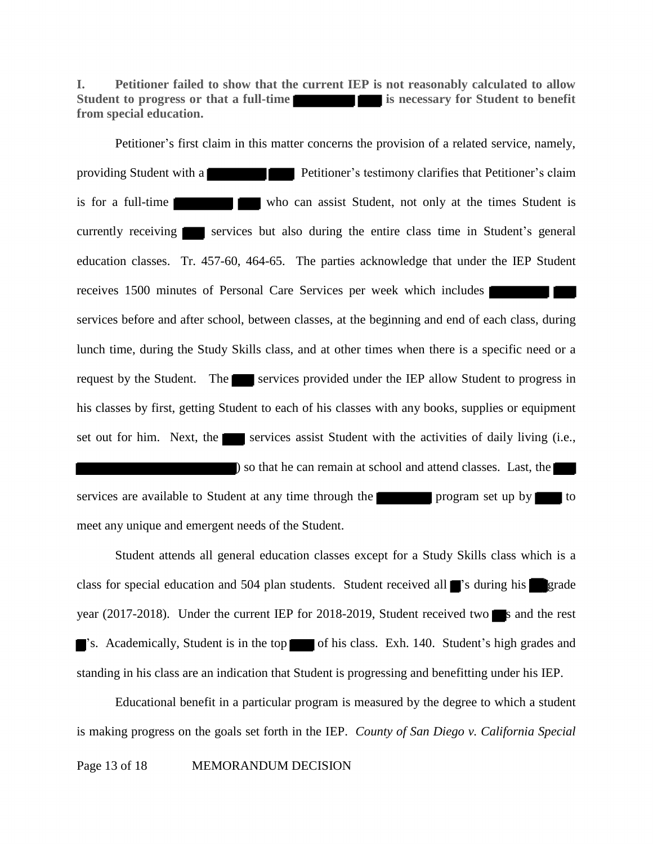e current IEP is<br>
ter concerns the p **I. Petitioner failed to show that the current IEP is not reasonably calculated to allow Student to progress or that a full-time is necessary for Student to benefit from special education.** 

 $\frac{1}{2}$  . This matter  $\frac{1}{2}$  . The  $\frac{1}{2}$  P First claim in this<br>with a<br>g<br>g<br>g<br>g<br>g<br>services 1 **1**<br>Tr. 4 Skill<br>**-**<br>udent his classes by first, getting Student to each of his classes with any books, supplies or equipment<br>set out for him. Next, the services assist Student with the activities of daily living (i.e.,<br>) so that he can remain at sc Student's general<br>the IEP Student<br>ach class, during  $(i.e.,$ Petitioner's first claim in this matter concerns the provision of a related service, namely, providing Student with a **Petitioner's** Lettioner's testimony clarifies that Petitioner's claim is for a full-time who can assist Student, not only at the times Student is currently receiving  $\blacksquare$  services but also during the entire class time in Student's general education classes. Tr. 457-60, 464-65. The parties acknowledge that under the IEP Student receives 1500 minutes of Personal Care Services per week which includes services before and after school, between classes, at the beginning and end of each class, during lunch time, during the Study Skills class, and at other times when there is a specific need or a request by the Student. The services provided under the IEP allow Student to progress in set out for him. Next, the services assist Student with the activities of daily living (i.e., ) so that he can remain at school and attend classes. Last, the

chool and attend classes. Last, the services are available to Student at any time through the **programs** program set up by to meet any unique and emergent needs of the Student.

■ P for<br>Exercise class for special education and 504 plan students. Student received all 's during his grade year (2017-2018). Under the current IEP for 2018-2019, Student received two s and the rest Student attends all general education classes except for a Study Skills class which is a 's. Academically, Student is in the top of his class. Exh. 140. Student's high grades and standing in his class are an indication that Student is progressing and benefitting under his IEP.

Educational benefit in a particular program is measured by the degree to which a student is making progress on the goals set forth in the IEP. *County of San Diego v. California Special*  Page 13 of 18 MEMORANDUM DECISION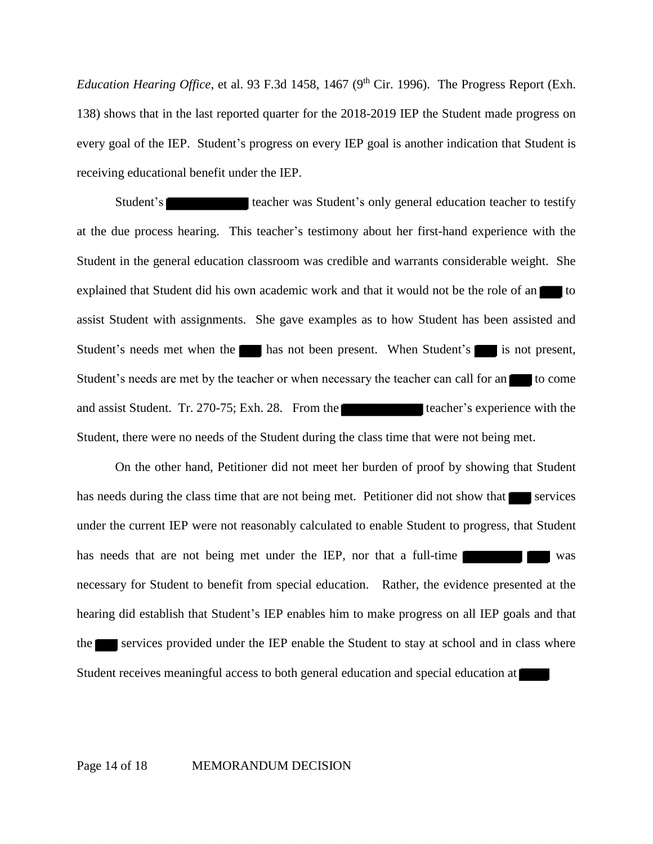*Education Hearing Office*, et al. 93 F.3d 1458, 1467 ( $9<sup>th</sup>$  Cir. 1996). The Progress Report (Exh. 138) shows that in the last reported quarter for the 2018-2019 IEP the Student made progress on every goal of the IEP. Student's progress on every IEP goal is another indication that Student is receiving educational benefit under the IEP.

nt.  $S$ <br>ted a assist Student with assignments. She gave examples as to how Student has been assisted and<br>Student's needs met when the **and has not been present.** When Student's is not present,<br>Student's needs are met by the teacher or w Student's needs met when the has not been present. When Student's is not present,<br>Student's needs are met by the teacher or when necessary the teacher can call for an is to come<br>and assist Student. Tr. 270-75; Exh. 28. Fro Student's **Student's** teacher was Student's only general education teacher to testify at the due process hearing. This teacher's testimony about her first-hand experience with the Student in the general education classroom was credible and warrants considerable weight. She explained that Student did his own academic work and that it would not be the role of an Student's needs are met by the teacher or when necessary the teacher can call for an to come and assist Student. Tr. 270-75; Exh. 28. From the teacher's experience with the Student, there were no needs of the Student during the class time that were not being met.

On the other hand, Petitioner did not meet her burden of proof by showing that Student<br>ds during the class time that are not being met. Petitioner did not show that services<br>he current IEP were not reasonably calculated to move that the serprogress, that Studies hearing did establish that Student's IEP enables him to make progress on all IEP goals and that<br>the services provided under the IEP enable the Student to stay at school and in class where<br>Student receives meaningful access the services provided under the IEP enable the Student to stay at school and in class where<br>Student receives meaningful access to both general education and special education at has needs during the class time that are not being met. Petitioner did not show that  $\blacksquare$  services under the current IEP were not reasonably calculated to enable Student to progress, that Student has needs that are not being met under the IEP, nor that a full-time necessary for Student to benefit from special education. Rather, the evidence presented at the Student receives meaningful access to both general education and special education at

#### Page 14 of 18 MEMORANDUM DECISION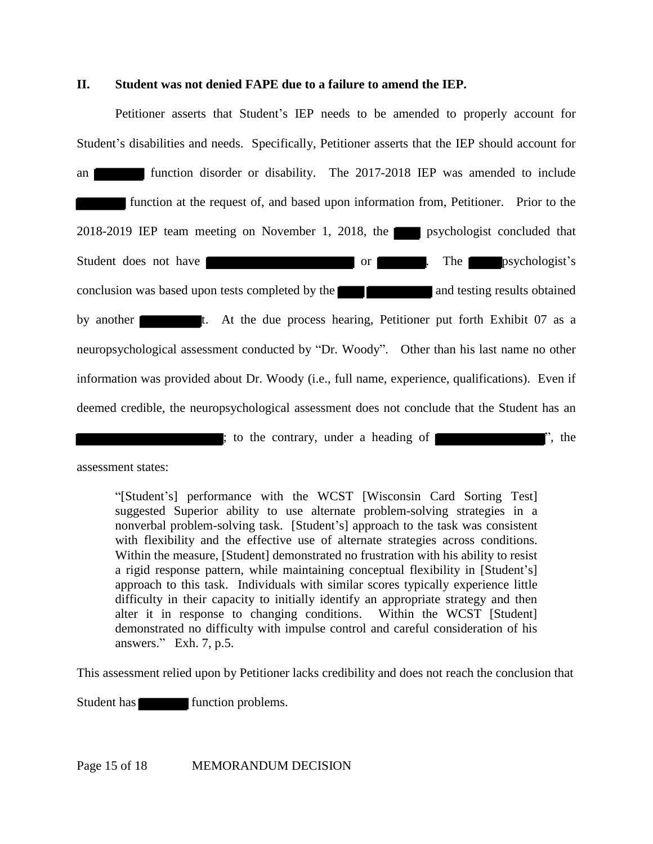### **II. Student was not denied FAPE due to a failure to amend the IEP.**

Student's disabilities and needs. Specifically, Petitioner asserts that the IEP should account for<br>an **EXEC 19.19** function disorder or disability. The 2017-2018 IEP was amended to include<br>function at the request of, and b an  $\vert$ <br>2018 tion<br>
<u>List</u> 2018-2019 IEP team meeting on November 1, 2018, the psychologist concluded that<br>Student does not have or or or or or present to psychologist's<br>conclusion was based upon tests completed by the and testing results obtained 2018, the p<br>or p<br>or p<br>earing, Petitioner t. At the due process hearing, Petitioner put forth Exhibit 07 as a neuropsychological assessment conducted by "Dr. Woody". Other than his last name no other Petitioner asserts that Student's IEP needs to be amended to properly account for an function disorder or disability. The 2017-2018 IEP was amended to include function at the request of, and based upon information from, Petitioner. Prior to the Student does not have **our set of the contract of the contract of the contract of the psychologist's** by another t. At the due process hearing, Petitioner put forth Exhibit 07 as a neuropsychological assessment conducted by "Dr. Woody". Other than his last name no other information was provided about Dr. Woody (i.e., full name, experience, qualifications). Even if deemed credible, the neuropsychological assessment does not conclude that the Student has an ; to the contrary, under a heading of ", the

assessment states:

"[Student's] performance with the WCST [Wisconsin Card Sorting Test] suggested Superior ability to use alternate problem-solving strategies in a nonverbal problem-solving task. [Student's] approach to the task was consistent with flexibility and the effective use of alternate strategies across conditions. Within the measure, [Student] demonstrated no frustration with his ability to resist a rigid response pattern, while maintaining conceptual flexibility in [Student's] approach to this task. Individuals with similar scores typically experience little difficulty in their capacity to initially identify an appropriate strategy and then alter it in response to changing conditions. Within the WCST [Student] demonstrated no difficulty with impulse control and careful consideration of his answers." Exh. 7, p.5.

This assessment relied upon by Petitioner lacks credibility and does not reach the conclusion that

nent<br>**Exercise** Student has **function problems**.

Page 15 of 18 MEMORANDUM DECISION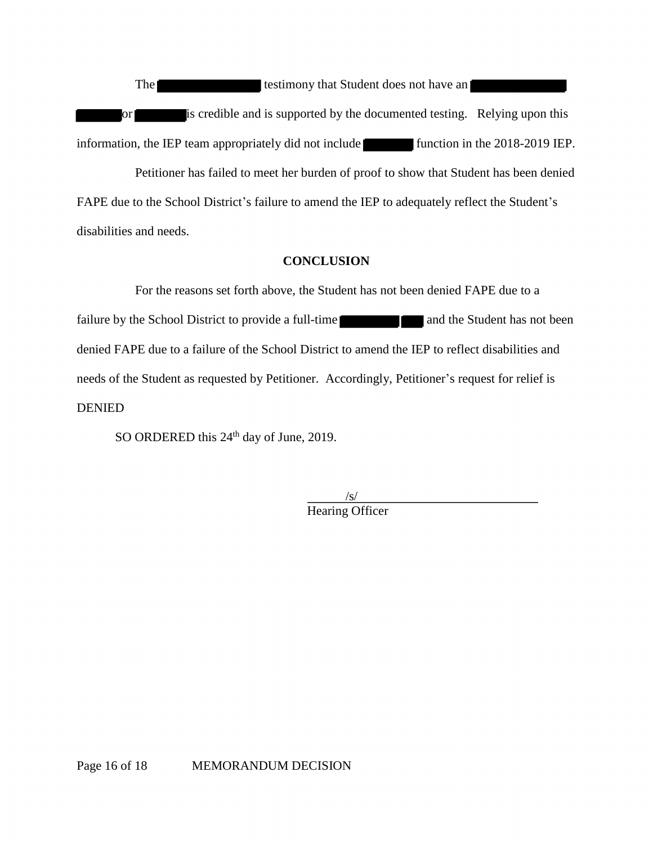The Terms<br>or The IEP to information, the IEP to the Contract of the IEP to the Contract of the Contract of the Contract of the Contract of the IEP to the Contract of the IEP to the Contract of the IEP to the Contract of th or is credible and is supported by the documented testing. Relying upon this<br>ion, the IEP team appropriately did not include<br>Petitioner has failed to meet her burden of proof to show that Student has been denied The testimony that Student does not have an information, the IEP team appropriately did not include function in the 2018-2019 IEP.

Petitioner has failed to meet her burden of proof to show that Student has been denied FAPE due to the School District's failure to amend the IEP to adequately reflect the Student's disabilities and needs.

### **CONCLUSION**

SION<br>lent has not been<br>to amend the IE. For the reasons set forth above, the Student has not been denied FAPE due to a failure by the School District to provide a full-time and the Student has not been denied FAPE due to a failure of the School District to amend the IEP to reflect disabilities and needs of the Student as requested by Petitioner. Accordingly, Petitioner's request for relief is DENIED

SO ORDERED this 24<sup>th</sup> day of June, 2019.

 $\sqrt{s}$ Hearing Officer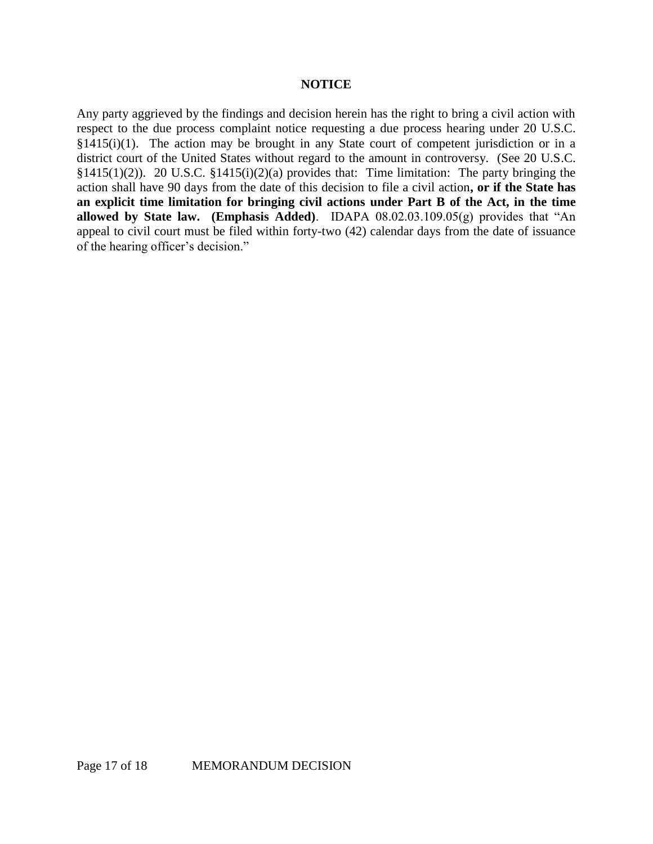#### **NOTICE**

Any party aggrieved by the findings and decision herein has the right to bring a civil action with respect to the due process complaint notice requesting a due process hearing under 20 U.S.C.  $§1415(i)(1)$ . The action may be brought in any State court of competent jurisdiction or in a district court of the United States without regard to the amount in controversy. (See 20 U.S.C. §1415(1)(2)). 20 U.S.C. §1415(i)(2)(a) provides that: Time limitation: The party bringing the action shall have 90 days from the date of this decision to file a civil action**, or if the State has an explicit time limitation for bringing civil actions under Part B of the Act, in the time allowed by State law. (Emphasis Added)**. IDAPA 08.02.03.109.05(g) provides that "An appeal to civil court must be filed within forty-two (42) calendar days from the date of issuance of the hearing officer's decision."